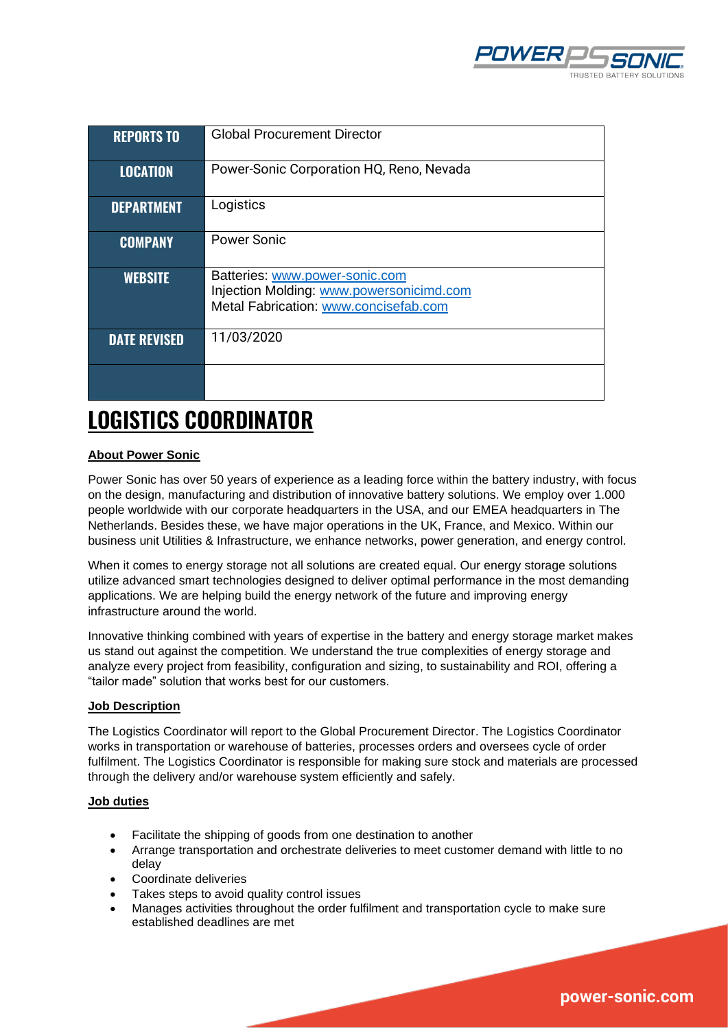

| <b>REPORTS TO</b>   | <b>Global Procurement Director</b>                                                                                  |
|---------------------|---------------------------------------------------------------------------------------------------------------------|
| <b>LOCATION</b>     | Power-Sonic Corporation HQ, Reno, Nevada                                                                            |
| <b>DEPARTMENT</b>   | Logistics                                                                                                           |
| <b>COMPANY</b>      | <b>Power Sonic</b>                                                                                                  |
| <b>WEBSITE</b>      | Batteries: www.power-sonic.com<br>Injection Molding: www.powersonicimd.com<br>Metal Fabrication: www.concisefab.com |
| <b>DATE REVISED</b> | 11/03/2020                                                                                                          |
|                     |                                                                                                                     |

# **LOGISTICS COORDINATOR**

# **About Power Sonic**

Power Sonic has over 50 years of experience as a leading force within the battery industry, with focus on the design, manufacturing and distribution of innovative battery solutions. We employ over 1.000 people worldwide with our corporate headquarters in the USA, and our EMEA headquarters in The Netherlands. Besides these, we have major operations in the UK, France, and Mexico. Within our business unit Utilities & Infrastructure, we enhance networks, power generation, and energy control.

When it comes to energy storage not all solutions are created equal. Our energy storage solutions utilize advanced smart technologies designed to deliver optimal performance in the most demanding applications. We are helping build the energy network of the future and improving energy infrastructure around the world.

Innovative thinking combined with years of expertise in the battery and energy storage market makes us stand out against the competition. We understand the true complexities of energy storage and analyze every project from feasibility, configuration and sizing, to sustainability and ROI, offering a "tailor made" solution that works best for our customers.

#### **Job Description**

The Logistics Coordinator will report to the Global Procurement Director. The Logistics Coordinator works in transportation or warehouse of batteries, processes orders and oversees cycle of order fulfilment. The Logistics Coordinator is responsible for making sure stock and materials are processed through the delivery and/or warehouse system efficiently and safely.

#### **Job duties**

- Facilitate the shipping of goods from one destination to another
- Arrange transportation and orchestrate deliveries to meet customer demand with little to no delay
- Coordinate deliveries
- Takes steps to avoid quality control issues
- Manages activities throughout the order fulfilment and transportation cycle to make sure established deadlines are met